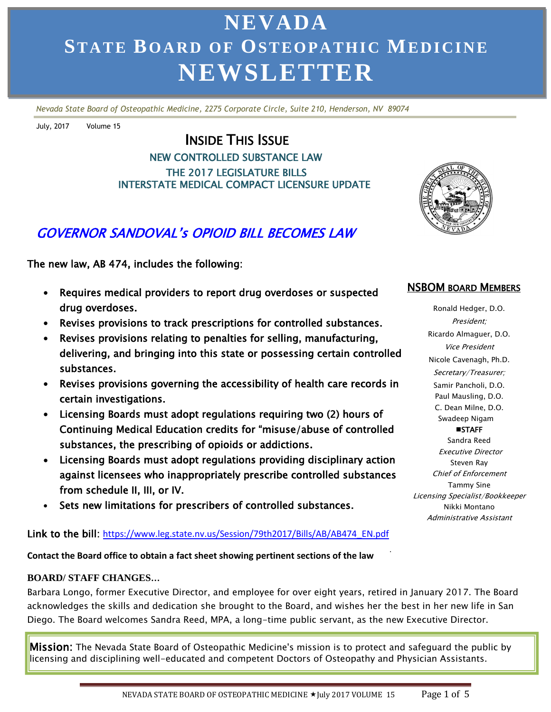# **NEVADA ST AT E BO AR D O F OS TEO P A TH I C ME DI CI N E NEWSLETTER**

*Nevada State Board of Osteopathic Medicine, 2275 Corporate Circle, Suite 210, Henderson, NV 89074*

July, 2017 Volume 15

### INSIDE THIS ISSUE NEW CONTROLLED SUBSTANCE LAW THE 2017 LEGISLATURE BILLS INTERSTATE MEDICAL COMPACT LICENSURE UPDATE

### GOVERNOR SANDOVAL's OPIOID BILL BECOMES LAW

The new law, AB 474, includes the following:

- Requires medical providers to report drug overdoses or suspected drug overdoses.
- Revises provisions to track prescriptions for controlled substances.
- Revises provisions relating to penalties for selling, manufacturing, delivering, and bringing into this state or possessing certain controlled substances.
- Revises provisions governing the accessibility of health care records in certain investigations.
- Licensing Boards must adopt regulations requiring two (2) hours of Continuing Medical Education credits for "misuse/abuse of controlled substances, the prescribing of opioids or addictions.
- Licensing Boards must adopt regulations providing disciplinary action against licensees who inappropriately prescribe controlled substances from schedule II, III, or IV.
- Sets new limitations for prescribers of controlled substances.

### Link to the bill: [https://www.leg.state.nv.us/Session/79th2017/Bills/AB/AB474\\_EN.pdf](https://www.leg.state.nv.us/Session/79th2017/Bills/AB/AB474_EN.pdf)

. **Contact the Board office to obtain a fact sheet showing pertinent sections of the law**

### **BOARD/ STAFF CHANGES…**

Barbara Longo, former Executive Director, and employee for over eight years, retired in January 2017. The Board acknowledges the skills and dedication she brought to the Board, and wishes her the best in her new life in San Diego. The Board welcomes Sandra Reed, MPA, a long-time public servant, as the new Executive Director.

**Mission:** The Nevada State Board of Osteopathic Medicine's mission is to protect and safequard the public by licensing and disciplining well-educated and competent Doctors of Osteopathy and Physician Assistants.



### NSBOM BOARD MEMBERS

Ronald Hedger, D.O. President; Ricardo Almaguer, D.O. Vice President Nicole Cavenagh, Ph.D. Secretary/Treasurer; Samir Pancholi, D.O. Paul Mausling, D.O. C. Dean Milne, D.O. Swadeep Nigam **STAFF** Sandra Reed Executive Director Steven Ray Chief of Enforcement Tammy Sine Licensing Specialist/Bookkeeper

Nikki Montano Administrative Assistant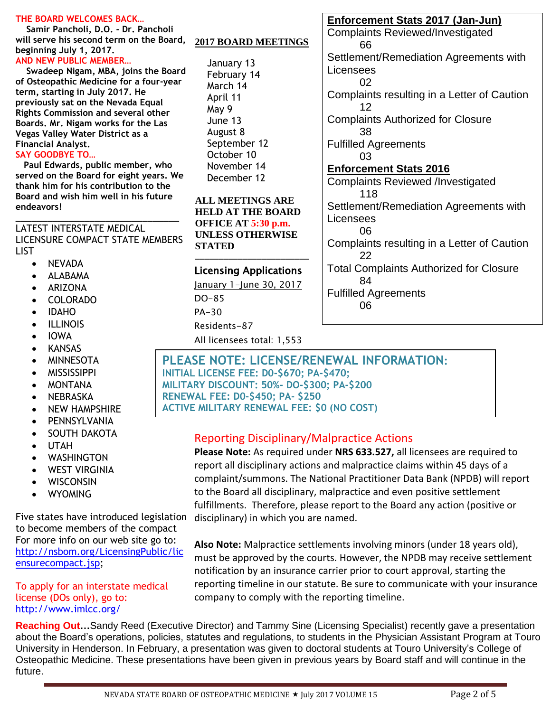#### **THE BOARD WELCOMES BACK…**

 **Samir Pancholi, D.O. - Dr. Pancholi will serve his second term on the Board, beginning July 1, 2017. AND NEW PUBLIC MEMBER…**

 **Swadeep Nigam, MBA, joins the Board of Osteopathic Medicine for a four-year term, starting in July 2017. He previously sat on the Nevada Equal Rights Commission and several other Boards. Mr. Nigam works for the Las Vegas Valley Water District as a Financial Analyst.**

#### **SAY GOODBYE TO…**

 **Paul Edwards, public member, who served on the Board for eight years. We thank him for his contribution to the Board and wish him well in his future endeavors!** 

### LATEST INTERSTATE MEDICAL LICENSURE COMPACT STATE MEMBERS LIST

**\_\_\_\_\_\_\_\_\_\_\_\_\_\_\_\_\_\_\_\_\_\_\_\_\_\_\_\_\_\_\_**

- NEVADA
- ALABAMA
- ARIZONA
- COLORADO
- IDAHO
- **•** ILLINOIS
- IOWA
- KANSAS
- MINNESOTA
- **MISSISSIPPI**
- MONTANA
- NEBRASKA
- NEW HAMPSHIRE
- PENNSYLVANIA
- SOUTH DAKOTA
- UTAH
- WASHINGTON
- WEST VIRGINIA
- WISCONSIN
- WYOMING

Five states have introduced legislation to become members of the compact For more info on our web site go to: [http://nsbom.org/LicensingPublic/lic](http://nsbom.org/LicensingPublic/licensurecompact.jsp) [ensurecompact.jsp;](http://nsbom.org/LicensingPublic/licensurecompact.jsp)

### To apply for an interstate medical license (DOs only), go to: <http://www.imlcc.org/>

#### **2017 BOARD MEETINGS**

January 13 February 14 March 14 April 11 May 9 June 13 August 8 September 12 October 10 November 14 December 12

**ALL MEETINGS ARE HELD AT THE BOARD OFFICE AT 5:30 p.m. UNLESS OTHERWISE STATED \_\_\_\_\_\_\_\_\_\_\_\_\_\_\_\_\_\_\_\_\_\_\_\_**

### Licensing Applications

January 1-June 30, 2017

DO-85

- PA-30
- Residents-87
- All licensees total: 1,553

### **Enforcement Stats 2017 (Jan-Jun)**

Complaints Reviewed/Investigated 66 Settlement/Remediation Agreements with Licensees 02 Complaints resulting in a Letter of Caution 12 Complaints Authorized for Closure 38 Fulfilled Agreements 03 **Enforcement Stats 2016**  Complaints Reviewed /Investigated 118 Settlement/Remediation Agreements with Licensees 06 Complaints resulting in a Letter of Caution 22 Total Complaints Authorized for Closure 84 Fulfilled Agreements 06

### **PLEASE NOTE: LICENSE/RENEWAL INFORMATION: INITIAL LICENSE FEE: D0-\$670; PA-\$470; MILITARY DISCOUNT: 50%- DO-\$300; PA-\$200**

**RENEWAL FEE: D0-\$450; PA- \$250** 

**ACTIVE MILITARY RENEWAL FEE: \$0 (NO COST) )**

### Reporting Disciplinary/Malpractice Actions

**Please Note:** As required under **NRS 633.527,** all licensees are required to report all disciplinary actions and malpractice claims within 45 days of a complaint/summons. The National Practitioner Data Bank (NPDB) will report to the Board all disciplinary, malpractice and even positive settlement fulfillments. Therefore, please report to the Board any action (positive or disciplinary) in which you are named.

company to comply with the reporting timeline. **Also Note:** Malpractice settlements involving minors (under 18 years old), must be approved by the courts. However, the NPDB may receive settlement notification by an insurance carrier prior to court approval, starting the reporting timeline in our statute. Be sure to communicate with your insurance

**Reaching Out…**Sandy Reed (Executive Director) and Tammy Sine (Licensing Specialist) recently gave a presentation University in Henderson. In February, a presentation was given to doctoral students at Touro University's College of about the Board's operations, policies, statutes and regulations, to students in the Physician Assistant Program at Touro Osteopathic Medicine. These presentations have been given in previous years by Board staff and will continue in the future.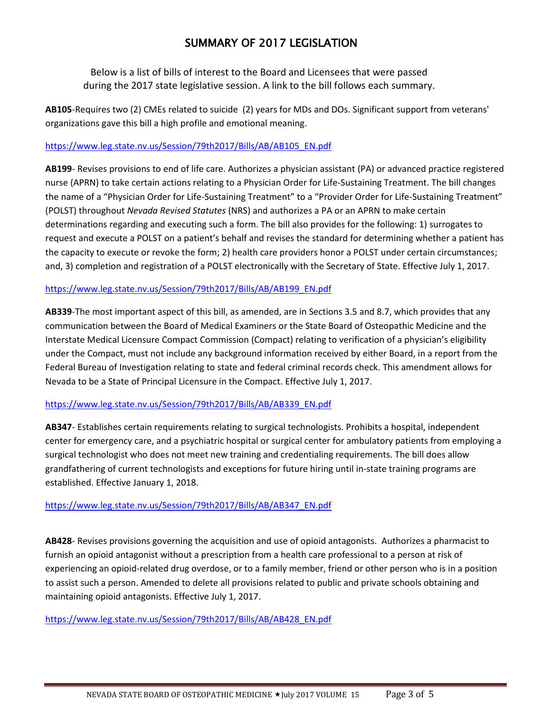### SUMMARY OF 2017 LEGISLATION

Below is a list of bills of interest to the Board and Licensees that were passed during the 2017 state legislative session. A link to the bill follows each summary.

**AB105**-Requires two (2) CMEs related to suicide (2) years for MDs and DOs. Significant support from veterans' organizations gave this bill a high profile and emotional meaning.

### [https://www.leg.state.nv.us/Session/79th2017/Bills/AB/AB105\\_EN.pdf](https://www.leg.state.nv.us/Session/79th2017/Bills/AB/AB105_EN.pdf)

**AB199**- Revises provisions to end of life care. Authorizes a physician assistant (PA) or advanced practice registered nurse (APRN) to take certain actions relating to a Physician Order for Life-Sustaining Treatment. The bill changes the name of a "Physician Order for Life-Sustaining Treatment" to a "Provider Order for Life-Sustaining Treatment" (POLST) throughout *Nevada Revised Statutes* (NRS) and authorizes a PA or an APRN to make certain determinations regarding and executing such a form. The bill also provides for the following: 1) surrogates to request and execute a POLST on a patient's behalf and revises the standard for determining whether a patient has the capacity to execute or revoke the form; 2) health care providers honor a POLST under certain circumstances; and, 3) completion and registration of a POLST electronically with the Secretary of State. Effective July 1, 2017.

### [https://www.leg.state.nv.us/Session/79th2017/Bills/AB/AB199\\_EN.pdf](https://www.leg.state.nv.us/Session/79th2017/Bills/AB/AB199_EN.pdf)

**AB339**-The most important aspect of this bill, as amended, are in Sections 3.5 and 8.7, which provides that any communication between the Board of Medical Examiners or the State Board of Osteopathic Medicine and the Interstate Medical Licensure Compact Commission (Compact) relating to verification of a physician's eligibility under the Compact, must not include any background information received by either Board, in a report from the Federal Bureau of Investigation relating to state and federal criminal records check. This amendment allows for Nevada to be a State of Principal Licensure in the Compact. Effective July 1, 2017.

### [https://www.leg.state.nv.us/Session/79th2017/Bills/AB/AB339\\_EN.pdf](https://www.leg.state.nv.us/Session/79th2017/Bills/AB/AB339_EN.pdf)

**AB347**- Establishes certain requirements relating to surgical technologists. Prohibits a hospital, independent center for emergency care, and a psychiatric hospital or surgical center for ambulatory patients from employing a surgical technologist who does not meet new training and credentialing requirements. The bill does allow grandfathering of current technologists and exceptions for future hiring until in-state training programs are established. Effective January 1, 2018.

### [https://www.leg.state.nv.us/Session/79th2017/Bills/AB/AB347\\_EN.pdf](https://www.leg.state.nv.us/Session/79th2017/Bills/AB/AB347_EN.pdf)

**AB428**- Revises provisions governing the acquisition and use of opioid antagonists. Authorizes a pharmacist to furnish an opioid antagonist without a prescription from a health care professional to a person at risk of experiencing an opioid-related drug overdose, or to a family member, friend or other person who is in a position to assist such a person. Amended to delete all provisions related to public and private schools obtaining and maintaining opioid antagonists. Effective July 1, 2017.

[https://www.leg.state.nv.us/Session/79th2017/Bills/AB/AB428\\_EN.pdf](https://www.leg.state.nv.us/Session/79th2017/Bills/AB/AB428_EN.pdf)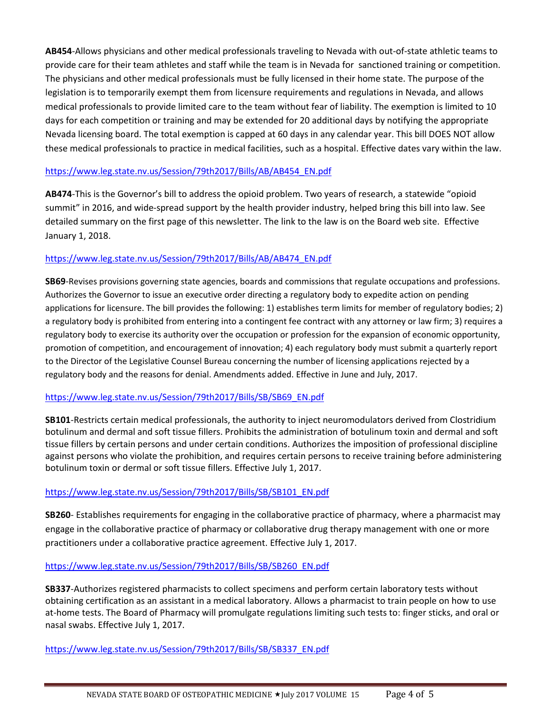**AB454**-Allows physicians and other medical professionals traveling to Nevada with out-of-state athletic teams to provide care for their team athletes and staff while the team is in Nevada for sanctioned training or competition. The physicians and other medical professionals must be fully licensed in their home state. The purpose of the legislation is to temporarily exempt them from licensure requirements and regulations in Nevada, and allows medical professionals to provide limited care to the team without fear of liability. The exemption is limited to 10 days for each competition or training and may be extended for 20 additional days by notifying the appropriate Nevada licensing board. The total exemption is capped at 60 days in any calendar year. This bill DOES NOT allow these medical professionals to practice in medical facilities, such as a hospital. Effective dates vary within the law.

### [https://www.leg.state.nv.us/Session/79th2017/Bills/AB/AB454\\_EN.pdf](https://www.leg.state.nv.us/Session/79th2017/Bills/AB/AB454_EN.pdf)

**AB474**-This is the Governor's bill to address the opioid problem. Two years of research, a statewide "opioid summit" in 2016, and wide-spread support by the health provider industry, helped bring this bill into law. See detailed summary on the first page of this newsletter. The link to the law is on the Board web site. Effective January 1, 2018.

### [https://www.leg.state.nv.us/Session/79th2017/Bills/AB/AB474\\_EN.pdf](https://www.leg.state.nv.us/Session/79th2017/Bills/AB/AB474_EN.pdf)

**SB69**-Revises provisions governing state agencies, boards and commissions that regulate occupations and professions. Authorizes the Governor to issue an executive order directing a regulatory body to expedite action on pending applications for licensure. The bill provides the following: 1) establishes term limits for member of regulatory bodies; 2) a regulatory body is prohibited from entering into a contingent fee contract with any attorney or law firm; 3) requires a regulatory body to exercise its authority over the occupation or profession for the expansion of economic opportunity, promotion of competition, and encouragement of innovation; 4) each regulatory body must submit a quarterly report to the Director of the Legislative Counsel Bureau concerning the number of licensing applications rejected by a regulatory body and the reasons for denial. Amendments added. Effective in June and July, 2017.

### [https://www.leg.state.nv.us/Session/79th2017/Bills/SB/SB69\\_EN.pdf](https://www.leg.state.nv.us/Session/79th2017/Bills/SB/SB69_EN.pdf)

**SB101**-Restricts certain medical professionals, the authority to inject neuromodulators derived from Clostridium botulinum and dermal and soft tissue fillers. Prohibits the administration of botulinum toxin and dermal and soft tissue fillers by certain persons and under certain conditions. Authorizes the imposition of professional discipline against persons who violate the prohibition, and requires certain persons to receive training before administering botulinum toxin or dermal or soft tissue fillers. Effective July 1, 2017.

### [https://www.leg.state.nv.us/Session/79th2017/Bills/SB/SB101\\_EN.pdf](https://www.leg.state.nv.us/Session/79th2017/Bills/SB/SB101_EN.pdf)

**SB260**- Establishes requirements for engaging in the collaborative practice of pharmacy, where a pharmacist may engage in the collaborative practice of pharmacy or collaborative drug therapy management with one or more practitioners under a collaborative practice agreement. Effective July 1, 2017.

### [https://www.leg.state.nv.us/Session/79th2017/Bills/SB/SB260\\_EN.pdf](https://www.leg.state.nv.us/Session/79th2017/Bills/SB/SB260_EN.pdf)

**SB337**-Authorizes registered pharmacists to collect specimens and perform certain laboratory tests without obtaining certification as an assistant in a medical laboratory. Allows a pharmacist to train people on how to use at-home tests. The Board of Pharmacy will promulgate regulations limiting such tests to: finger sticks, and oral or nasal swabs. Effective July 1, 2017.

[https://www.leg.state.nv.us/Session/79th2017/Bills/SB/SB337\\_EN.pdf](https://www.leg.state.nv.us/Session/79th2017/Bills/SB/SB337_EN.pdf)